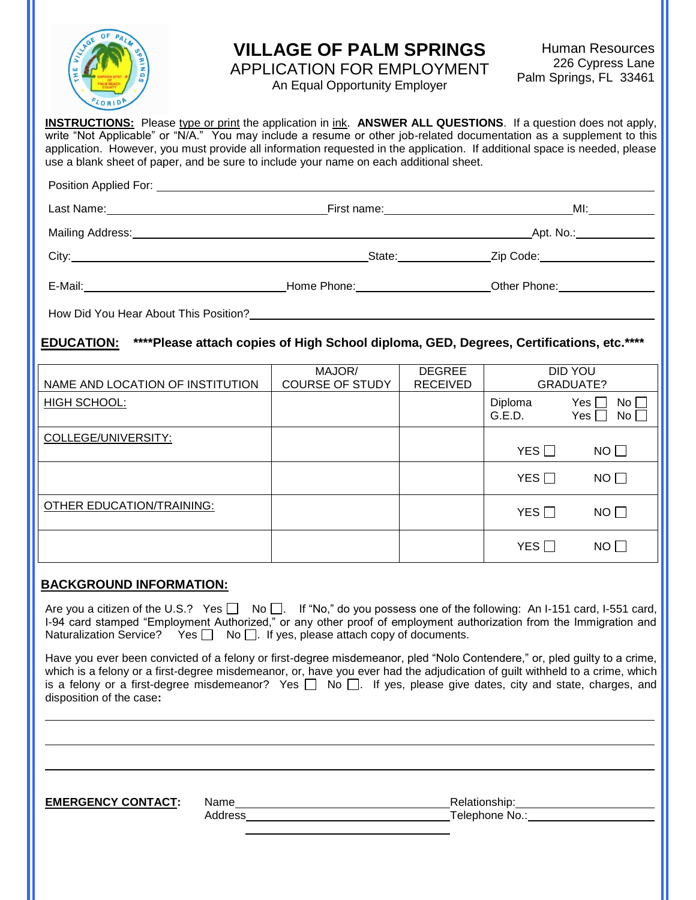

## **VILLAGE OF PALM SPRINGS**

Human Resources 226 Cypress Lane Palm Springs, FL 33461

APPLICATION FOR EMPLOYMENT An Equal Opportunity Employer

**INSTRUCTIONS:** Please type or print the application in ink. **ANSWER ALL QUESTIONS**. If a question does not apply, write "Not Applicable" or "N/A." You may include a resume or other job-related documentation as a supplement to this application. However, you must provide all information requested in the application. If additional space is needed, please use a blank sheet of paper, and be sure to include your name on each additional sheet. Position Applied For:

| Last Name: 1988 Contract Contract Contract Contract Contract Contract Contract Contract Contract Contract Contract Contract Contract Contract Contract Contract Contract Contract Contract Contract Contract Contract Contract | First name: ______________________________                                                                       | MI: and the same of the same of the same of the same of the same of the same of the same of the same of the same of the same of the same of the same of the same of the same of the same of the same of the same of the same o |  |
|--------------------------------------------------------------------------------------------------------------------------------------------------------------------------------------------------------------------------------|------------------------------------------------------------------------------------------------------------------|--------------------------------------------------------------------------------------------------------------------------------------------------------------------------------------------------------------------------------|--|
|                                                                                                                                                                                                                                |                                                                                                                  | Apt. No.: ______________                                                                                                                                                                                                       |  |
|                                                                                                                                                                                                                                | State:                                                                                                           | Zip Code: ___________________                                                                                                                                                                                                  |  |
| E-Mail:                                                                                                                                                                                                                        | Home Phone: North States and States and States and States and States and States and States and States and States | Other Phone:                                                                                                                                                                                                                   |  |

How Did You Hear About This Position?

**EDUCATION: \*\*\*\*Please attach copies of High School diploma, GED, Degrees, Certifications, etc.\*\*\*\*** 

| NAME AND LOCATION OF INSTITUTION | MAJOR/<br><b>COURSE OF STUDY</b> | <b>DEGREE</b><br><b>RECEIVED</b> |                   | DID YOU<br>GRADUATE?         |
|----------------------------------|----------------------------------|----------------------------------|-------------------|------------------------------|
| HIGH SCHOOL:                     |                                  |                                  | Diploma<br>G.E.D. | Yes I<br>No l<br>Yes<br>No l |
| COLLEGE/UNIVERSITY:              |                                  |                                  | YES $\Box$        | $NO$ $\Box$                  |
|                                  |                                  |                                  | YES $\Box$        | $NO$ $\Box$                  |
| <b>OTHER EDUCATION/TRAINING:</b> |                                  |                                  | YES               | $NO$ $\Box$                  |
|                                  |                                  |                                  | YES $\Box$        | NO I I                       |

#### **BACKGROUND INFORMATION:**

Are you a citizen of the U.S.? Yes  $\Box$  No  $\Box$ . If "No," do you possess one of the following: An I-151 card, I-551 card, I-94 card stamped "Employment Authorized," or any other proof of employment authorization from the Immigration and Naturalization Service? Yes  $\Box$  No  $\Box$ . If yes, please attach copy of documents.

Have you ever been convicted of a felony or first-degree misdemeanor, pled "Nolo Contendere," or, pled guilty to a crime, which is a felony or a first-degree misdemeanor, or, have you ever had the adjudication of guilt withheld to a crime, which is a felony or a first-degree misdemeanor? Yes  $\Box$  No  $\Box$  If yes, please give dates, city and state, charges, and disposition of the case**:**

**EMERGENCY CONTACT:** Name **Relationship:**  $\blacksquare$  Relationship:

Address **Telephone No.:** Telephone No.: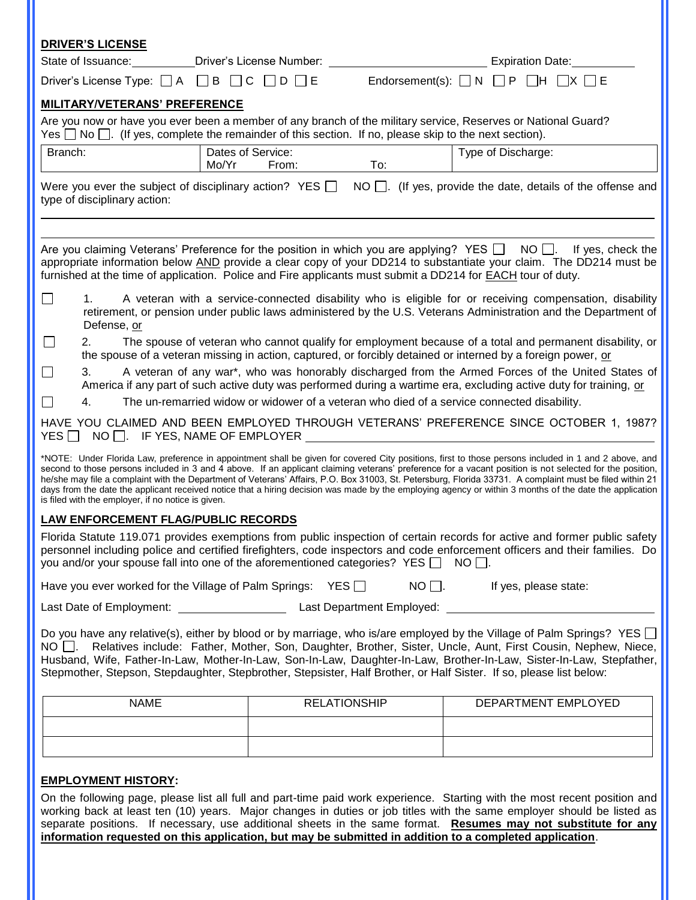| <b>DRIVER'S LICENSE</b>                                                                                                                                                                                                                                                                                                                                                                                                                                                                                                                                                                                                                                                                       |       |                     |               |                                                                                                                                                                                                                                                  |  |
|-----------------------------------------------------------------------------------------------------------------------------------------------------------------------------------------------------------------------------------------------------------------------------------------------------------------------------------------------------------------------------------------------------------------------------------------------------------------------------------------------------------------------------------------------------------------------------------------------------------------------------------------------------------------------------------------------|-------|---------------------|---------------|--------------------------------------------------------------------------------------------------------------------------------------------------------------------------------------------------------------------------------------------------|--|
| State of Issuance:                                                                                                                                                                                                                                                                                                                                                                                                                                                                                                                                                                                                                                                                            |       |                     |               | Expiration Date:                                                                                                                                                                                                                                 |  |
| Driver's License Type: $\Box A$ $\Box B$ $\Box C$                                                                                                                                                                                                                                                                                                                                                                                                                                                                                                                                                                                                                                             |       | $\Box$ D $\Box$ E   |               | Endorsement(s): $\Box N \Box P \Box H$                                                                                                                                                                                                           |  |
| <b>MILITARY/VETERANS' PREFERENCE</b>                                                                                                                                                                                                                                                                                                                                                                                                                                                                                                                                                                                                                                                          |       |                     |               |                                                                                                                                                                                                                                                  |  |
| Yes $\Box$ No $\Box$ . (If yes, complete the remainder of this section. If no, please skip to the next section).                                                                                                                                                                                                                                                                                                                                                                                                                                                                                                                                                                              |       |                     |               | Are you now or have you ever been a member of any branch of the military service, Reserves or National Guard?                                                                                                                                    |  |
| Branch:                                                                                                                                                                                                                                                                                                                                                                                                                                                                                                                                                                                                                                                                                       |       | Dates of Service:   |               | Type of Discharge:                                                                                                                                                                                                                               |  |
|                                                                                                                                                                                                                                                                                                                                                                                                                                                                                                                                                                                                                                                                                               | Mo/Yr | From:               | To:           |                                                                                                                                                                                                                                                  |  |
| Were you ever the subject of disciplinary action? YES $\Box$<br>type of disciplinary action:                                                                                                                                                                                                                                                                                                                                                                                                                                                                                                                                                                                                  |       |                     | $NO$ $\Box$ . | (If yes, provide the date, details of the offense and                                                                                                                                                                                            |  |
|                                                                                                                                                                                                                                                                                                                                                                                                                                                                                                                                                                                                                                                                                               |       |                     |               |                                                                                                                                                                                                                                                  |  |
| furnished at the time of application. Police and Fire applicants must submit a DD214 for <b>EACH</b> tour of duty.                                                                                                                                                                                                                                                                                                                                                                                                                                                                                                                                                                            |       |                     |               | Are you claiming Veterans' Preference for the position in which you are applying? YES $\Box$ NO $\Box$ . If yes, check the<br>appropriate information below AND provide a clear copy of your DD214 to substantiate your claim. The DD214 must be |  |
| 1.<br>Defense, or                                                                                                                                                                                                                                                                                                                                                                                                                                                                                                                                                                                                                                                                             |       |                     |               | A veteran with a service-connected disability who is eligible for or receiving compensation, disability<br>retirement, or pension under public laws administered by the U.S. Veterans Administration and the Department of                       |  |
| $\mathsf{L}$<br>2.                                                                                                                                                                                                                                                                                                                                                                                                                                                                                                                                                                                                                                                                            |       |                     |               | The spouse of veteran who cannot qualify for employment because of a total and permanent disability, or<br>the spouse of a veteran missing in action, captured, or forcibly detained or interned by a foreign power, or                          |  |
| 3.                                                                                                                                                                                                                                                                                                                                                                                                                                                                                                                                                                                                                                                                                            |       |                     |               | A veteran of any war*, who was honorably discharged from the Armed Forces of the United States of<br>America if any part of such active duty was performed during a wartime era, excluding active duty for training, or                          |  |
| 4.                                                                                                                                                                                                                                                                                                                                                                                                                                                                                                                                                                                                                                                                                            |       |                     |               | The un-remarried widow or widower of a veteran who died of a service connected disability.                                                                                                                                                       |  |
| $NO \Box$ . IF YES, NAME OF EMPLOYER<br>$YES$ $\Box$                                                                                                                                                                                                                                                                                                                                                                                                                                                                                                                                                                                                                                          |       |                     |               | HAVE YOU CLAIMED AND BEEN EMPLOYED THROUGH VETERANS' PREFERENCE SINCE OCTOBER 1, 1987?                                                                                                                                                           |  |
| *NOTE: Under Florida Law, preference in appointment shall be given for covered City positions, first to those persons included in 1 and 2 above, and<br>second to those persons included in 3 and 4 above. If an applicant claiming veterans' preference for a vacant position is not selected for the position,<br>he/she may file a complaint with the Department of Veterans' Affairs, P.O. Box 31003, St. Petersburg, Florida 33731. A complaint must be filed within 21<br>days from the date the applicant received notice that a hiring decision was made by the employing agency or within 3 months of the date the application<br>is filed with the employer, if no notice is given. |       |                     |               |                                                                                                                                                                                                                                                  |  |
| LAW ENFORCEMENT FLAG/PUBLIC RECORDS                                                                                                                                                                                                                                                                                                                                                                                                                                                                                                                                                                                                                                                           |       |                     |               |                                                                                                                                                                                                                                                  |  |
| Florida Statute 119.071 provides exemptions from public inspection of certain records for active and former public safety<br>personnel including police and certified firefighters, code inspectors and code enforcement officers and their families. Do<br>you and/or your spouse fall into one of the aforementioned categories? YES $\Box$<br>$NO$    .                                                                                                                                                                                                                                                                                                                                    |       |                     |               |                                                                                                                                                                                                                                                  |  |
| Have you ever worked for the Village of Palm Springs: $YES$                                                                                                                                                                                                                                                                                                                                                                                                                                                                                                                                                                                                                                   |       |                     | $NO$ $\Box$ . | If yes, please state:                                                                                                                                                                                                                            |  |
| Last Department Employed:<br>Last Date of Employment:                                                                                                                                                                                                                                                                                                                                                                                                                                                                                                                                                                                                                                         |       |                     |               |                                                                                                                                                                                                                                                  |  |
| Do you have any relative(s), either by blood or by marriage, who is/are employed by the Village of Palm Springs? YES □<br>NO $\Box$ . Relatives include: Father, Mother, Son, Daughter, Brother, Sister, Uncle, Aunt, First Cousin, Nephew, Niece,<br>Husband, Wife, Father-In-Law, Mother-In-Law, Son-In-Law, Daughter-In-Law, Brother-In-Law, Sister-In-Law, Stepfather,<br>Stepmother, Stepson, Stepdaughter, Stepbrother, Stepsister, Half Brother, or Half Sister. If so, please list below:                                                                                                                                                                                             |       |                     |               |                                                                                                                                                                                                                                                  |  |
| <b>NAME</b>                                                                                                                                                                                                                                                                                                                                                                                                                                                                                                                                                                                                                                                                                   |       | <b>RELATIONSHIP</b> |               | DEPARTMENT EMPLOYED                                                                                                                                                                                                                              |  |
|                                                                                                                                                                                                                                                                                                                                                                                                                                                                                                                                                                                                                                                                                               |       |                     |               |                                                                                                                                                                                                                                                  |  |
|                                                                                                                                                                                                                                                                                                                                                                                                                                                                                                                                                                                                                                                                                               |       |                     |               |                                                                                                                                                                                                                                                  |  |
|                                                                                                                                                                                                                                                                                                                                                                                                                                                                                                                                                                                                                                                                                               |       |                     |               |                                                                                                                                                                                                                                                  |  |

#### **EMPLOYMENT HISTORY:**

On the following page, please list all full and part-time paid work experience. Starting with the most recent position and working back at least ten (10) years. Major changes in duties or job titles with the same employer should be listed as separate positions. If necessary, use additional sheets in the same format. **Resumes may not substitute for any information requested on this application, but may be submitted in addition to a completed application**.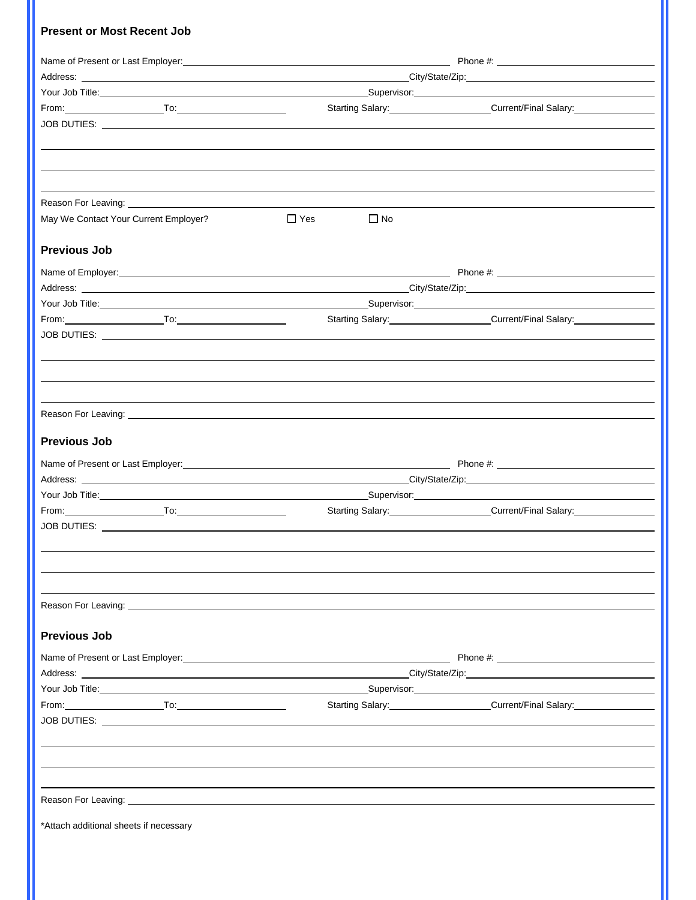## **Present or Most Recent Job**

|                                                                                                                                                                                                                                      | Name of Present or Last Employer: Name of Present or Last Employer: Name of Present or Last Employer: |                                                                                                                |  |  |  |
|--------------------------------------------------------------------------------------------------------------------------------------------------------------------------------------------------------------------------------------|-------------------------------------------------------------------------------------------------------|----------------------------------------------------------------------------------------------------------------|--|--|--|
|                                                                                                                                                                                                                                      |                                                                                                       |                                                                                                                |  |  |  |
| Your Job Title: <u>All and the second of the second of the second of the second of the second of the second of the second of the second of the second of the second of the second of the second of the second of the second of t</u> |                                                                                                       |                                                                                                                |  |  |  |
|                                                                                                                                                                                                                                      |                                                                                                       | Starting Salary: Current/Final Salary: Current/Final Salary:                                                   |  |  |  |
|                                                                                                                                                                                                                                      |                                                                                                       |                                                                                                                |  |  |  |
|                                                                                                                                                                                                                                      |                                                                                                       |                                                                                                                |  |  |  |
|                                                                                                                                                                                                                                      |                                                                                                       |                                                                                                                |  |  |  |
|                                                                                                                                                                                                                                      |                                                                                                       |                                                                                                                |  |  |  |
| Reason For Leaving: The Second Second Second Second Second Second Second Second Second Second Second Second Second Second Second Second Second Second Second Second Second Second Second Second Second Second Second Second Se       |                                                                                                       |                                                                                                                |  |  |  |
| May We Contact Your Current Employer?                                                                                                                                                                                                | $\Box$ Yes<br>$\Box$ No                                                                               |                                                                                                                |  |  |  |
|                                                                                                                                                                                                                                      |                                                                                                       |                                                                                                                |  |  |  |
| <b>Previous Job</b>                                                                                                                                                                                                                  |                                                                                                       |                                                                                                                |  |  |  |
|                                                                                                                                                                                                                                      |                                                                                                       |                                                                                                                |  |  |  |
|                                                                                                                                                                                                                                      |                                                                                                       |                                                                                                                |  |  |  |
|                                                                                                                                                                                                                                      |                                                                                                       |                                                                                                                |  |  |  |
|                                                                                                                                                                                                                                      |                                                                                                       | Starting Salary: Current/Final Salary: Current Starting Salary:                                                |  |  |  |
|                                                                                                                                                                                                                                      |                                                                                                       |                                                                                                                |  |  |  |
|                                                                                                                                                                                                                                      |                                                                                                       |                                                                                                                |  |  |  |
|                                                                                                                                                                                                                                      |                                                                                                       |                                                                                                                |  |  |  |
|                                                                                                                                                                                                                                      |                                                                                                       |                                                                                                                |  |  |  |
|                                                                                                                                                                                                                                      |                                                                                                       |                                                                                                                |  |  |  |
|                                                                                                                                                                                                                                      |                                                                                                       |                                                                                                                |  |  |  |
| <b>Previous Job</b>                                                                                                                                                                                                                  |                                                                                                       |                                                                                                                |  |  |  |
|                                                                                                                                                                                                                                      |                                                                                                       |                                                                                                                |  |  |  |
|                                                                                                                                                                                                                                      |                                                                                                       |                                                                                                                |  |  |  |
|                                                                                                                                                                                                                                      |                                                                                                       |                                                                                                                |  |  |  |
|                                                                                                                                                                                                                                      |                                                                                                       | Starting Salary: Current/Final Salary:                                                                         |  |  |  |
|                                                                                                                                                                                                                                      |                                                                                                       |                                                                                                                |  |  |  |
|                                                                                                                                                                                                                                      |                                                                                                       |                                                                                                                |  |  |  |
|                                                                                                                                                                                                                                      |                                                                                                       |                                                                                                                |  |  |  |
|                                                                                                                                                                                                                                      |                                                                                                       |                                                                                                                |  |  |  |
|                                                                                                                                                                                                                                      |                                                                                                       |                                                                                                                |  |  |  |
|                                                                                                                                                                                                                                      |                                                                                                       |                                                                                                                |  |  |  |
|                                                                                                                                                                                                                                      |                                                                                                       |                                                                                                                |  |  |  |
| <b>Previous Job</b>                                                                                                                                                                                                                  |                                                                                                       |                                                                                                                |  |  |  |
| Name of Present or Last Employer: Name of Present or Last Employer:                                                                                                                                                                  |                                                                                                       |                                                                                                                |  |  |  |
|                                                                                                                                                                                                                                      |                                                                                                       |                                                                                                                |  |  |  |
| Your Job Title: <u>Contract Communication of the Supervisors of Supervisors and Supervisors of the Supervisors of the Supervisors of the Supervisors of the Supervisor of the Supervisors of the Supervisors of the Supervisors </u> |                                                                                                       |                                                                                                                |  |  |  |
|                                                                                                                                                                                                                                      |                                                                                                       | Starting Salary: Current/Final Salary: Current: Current: Current: Current: Current: Current: Current: Current: |  |  |  |
|                                                                                                                                                                                                                                      |                                                                                                       |                                                                                                                |  |  |  |
|                                                                                                                                                                                                                                      |                                                                                                       |                                                                                                                |  |  |  |
|                                                                                                                                                                                                                                      |                                                                                                       |                                                                                                                |  |  |  |
|                                                                                                                                                                                                                                      |                                                                                                       |                                                                                                                |  |  |  |
|                                                                                                                                                                                                                                      |                                                                                                       |                                                                                                                |  |  |  |
| Reason For Leaving: <b>All According to the Contract of According to the Contract of According to the Contract of According to the Contract of According to the Contract of According to the Contract of According to the Contra</b> |                                                                                                       |                                                                                                                |  |  |  |
| *Attach additional sheets if necessary                                                                                                                                                                                               |                                                                                                       |                                                                                                                |  |  |  |
|                                                                                                                                                                                                                                      |                                                                                                       |                                                                                                                |  |  |  |
|                                                                                                                                                                                                                                      |                                                                                                       |                                                                                                                |  |  |  |
|                                                                                                                                                                                                                                      |                                                                                                       |                                                                                                                |  |  |  |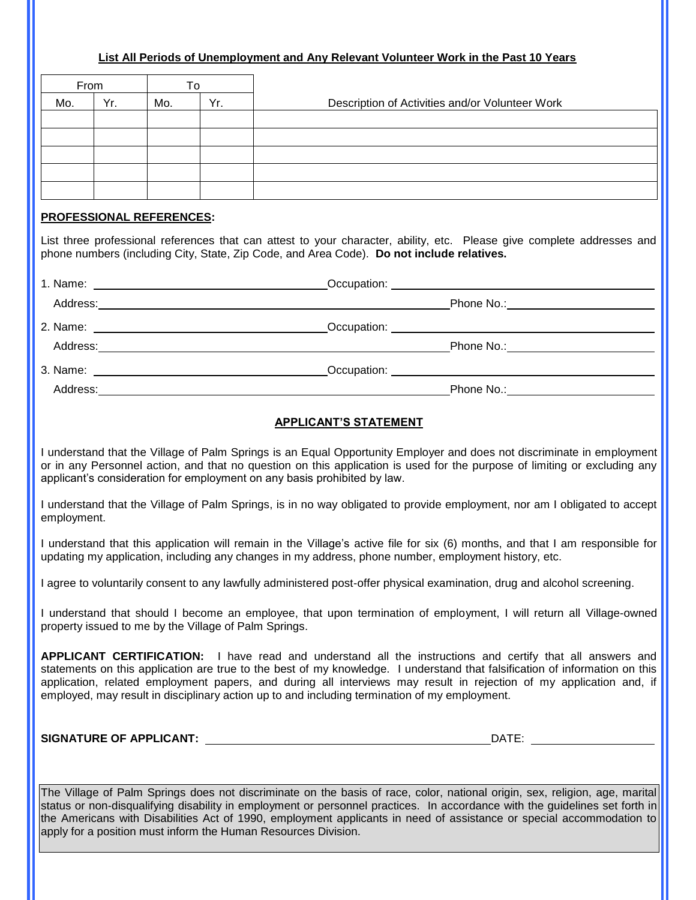#### **List All Periods of Unemployment and Any Relevant Volunteer Work in the Past 10 Years**

| From |     | To  |     |                                                 |  |  |  |
|------|-----|-----|-----|-------------------------------------------------|--|--|--|
| Mo.  | Yr. | Mo. | Yr. | Description of Activities and/or Volunteer Work |  |  |  |
|      |     |     |     |                                                 |  |  |  |
|      |     |     |     |                                                 |  |  |  |
|      |     |     |     |                                                 |  |  |  |
|      |     |     |     |                                                 |  |  |  |
|      |     |     |     |                                                 |  |  |  |

#### **PROFESSIONAL REFERENCES:**

 $\overline{\phantom{a}}$ I I I  $\overline{\phantom{a}}$ 

> List three professional references that can attest to your character, ability, etc. Please give complete addresses and phone numbers (including City, State, Zip Code, and Area Code). **Do not include relatives.**

| <b>APPLICANT'S STATEMENT</b> |  |
|------------------------------|--|

I understand that the Village of Palm Springs is an Equal Opportunity Employer and does not discriminate in employment or in any Personnel action, and that no question on this application is used for the purpose of limiting or excluding any applicant's consideration for employment on any basis prohibited by law.

I understand that the Village of Palm Springs, is in no way obligated to provide employment, nor am I obligated to accept employment.

I understand that this application will remain in the Village's active file for six (6) months, and that I am responsible for updating my application, including any changes in my address, phone number, employment history, etc.

I agree to voluntarily consent to any lawfully administered post-offer physical examination, drug and alcohol screening.

I understand that should I become an employee, that upon termination of employment, I will return all Village-owned property issued to me by the Village of Palm Springs.

**APPLICANT CERTIFICATION:** I have read and understand all the instructions and certify that all answers and statements on this application are true to the best of my knowledge. I understand that falsification of information on this application, related employment papers, and during all interviews may result in rejection of my application and, if employed, may result in disciplinary action up to and including termination of my employment.

**SIGNATURE OF APPLICANT:** DATE:

The Village of Palm Springs does not discriminate on the basis of race, color, national origin, sex, religion, age, marital status or non-disqualifying disability in employment or personnel practices. In accordance with the guidelines set forth in the Americans with Disabilities Act of 1990, employment applicants in need of assistance or special accommodation to apply for a position must inform the Human Resources Division.